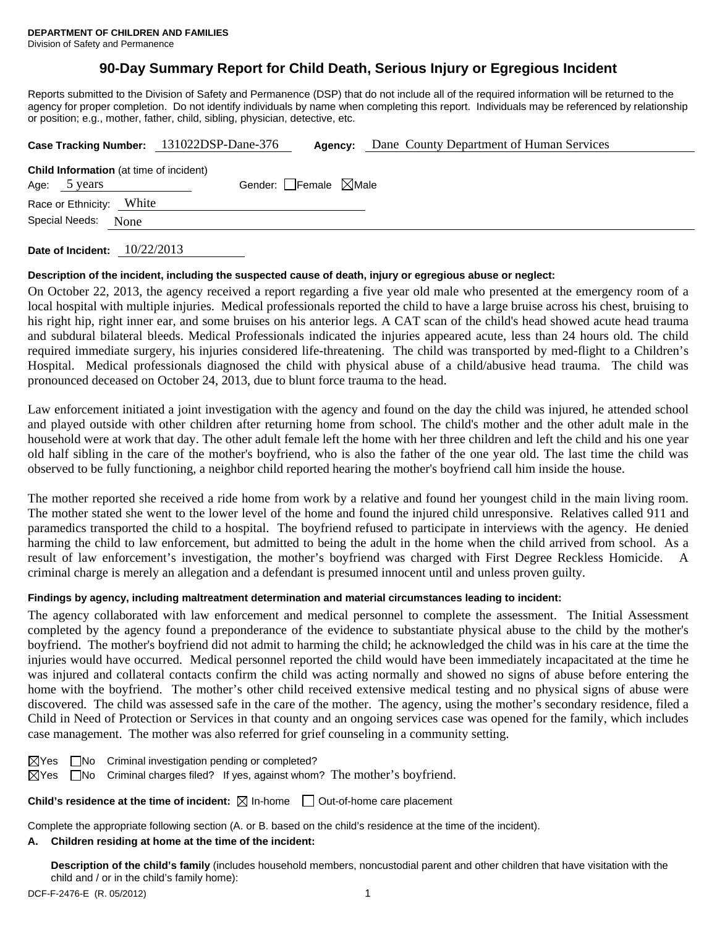# **90-Day Summary Report for Child Death, Serious Injury or Egregious Incident**

Reports submitted to the Division of Safety and Permanence (DSP) that do not include all of the required information will be returned to the agency for proper completion. Do not identify individuals by name when completing this report. Individuals may be referenced by relationship or position; e.g., mother, father, child, sibling, physician, detective, etc.

|                                                                | Case Tracking Number: 131022DSP-Dane-376<br>Agency: | Dane County Department of Human Services |
|----------------------------------------------------------------|-----------------------------------------------------|------------------------------------------|
| <b>Child Information</b> (at time of incident)<br>Age: 5 years | Gender: Female $\boxtimes$ Male                     |                                          |
| White<br>Race or Ethnicity:                                    |                                                     |                                          |
| Special Needs:<br>None                                         |                                                     |                                          |
|                                                                |                                                     |                                          |

**Date of Incident:** 10/22/2013

### **Description of the incident, including the suspected cause of death, injury or egregious abuse or neglect:**

On October 22, 2013, the agency received a report regarding a five year old male who presented at the emergency room of a local hospital with multiple injuries. Medical professionals reported the child to have a large bruise across his chest, bruising to his right hip, right inner ear, and some bruises on his anterior legs. A CAT scan of the child's head showed acute head trauma and subdural bilateral bleeds. Medical Professionals indicated the injuries appeared acute, less than 24 hours old. The child required immediate surgery, his injuries considered life-threatening. The child was transported by med-flight to a Children's Hospital. Medical professionals diagnosed the child with physical abuse of a child/abusive head trauma. The child was pronounced deceased on October 24, 2013, due to blunt force trauma to the head.

Law enforcement initiated a joint investigation with the agency and found on the day the child was injured, he attended school and played outside with other children after returning home from school. The child's mother and the other adult male in the household were at work that day. The other adult female left the home with her three children and left the child and his one year old half sibling in the care of the mother's boyfriend, who is also the father of the one year old. The last time the child was observed to be fully functioning, a neighbor child reported hearing the mother's boyfriend call him inside the house.

The mother reported she received a ride home from work by a relative and found her youngest child in the main living room. The mother stated she went to the lower level of the home and found the injured child unresponsive. Relatives called 911 and paramedics transported the child to a hospital. The boyfriend refused to participate in interviews with the agency. He denied harming the child to law enforcement, but admitted to being the adult in the home when the child arrived from school. As a result of law enforcement's investigation, the mother's boyfriend was charged with First Degree Reckless Homicide. A criminal charge is merely an allegation and a defendant is presumed innocent until and unless proven guilty.

## **Findings by agency, including maltreatment determination and material circumstances leading to incident:**

The agency collaborated with law enforcement and medical personnel to complete the assessment. The Initial Assessment completed by the agency found a preponderance of the evidence to substantiate physical abuse to the child by the mother's boyfriend. The mother's boyfriend did not admit to harming the child; he acknowledged the child was in his care at the time the injuries would have occurred. Medical personnel reported the child would have been immediately incapacitated at the time he was injured and collateral contacts confirm the child was acting normally and showed no signs of abuse before entering the home with the boyfriend. The mother's other child received extensive medical testing and no physical signs of abuse were discovered. The child was assessed safe in the care of the mother. The agency, using the mother's secondary residence, filed a Child in Need of Protection or Services in that county and an ongoing services case was opened for the family, which includes case management. The mother was also referred for grief counseling in a community setting.

 $\boxtimes$ Yes  $\Box$ No Criminal investigation pending or completed?

 $\boxtimes$ Yes  $\Box$ No Criminal charges filed? If yes, against whom? The mother's boyfriend.

**Child's residence at the time of incident:**  $\boxtimes$  In-home  $\Box$  Out-of-home care placement

Complete the appropriate following section (A. or B. based on the child's residence at the time of the incident).

### **A. Children residing at home at the time of the incident:**

**Description of the child's family** (includes household members, noncustodial parent and other children that have visitation with the child and / or in the child's family home):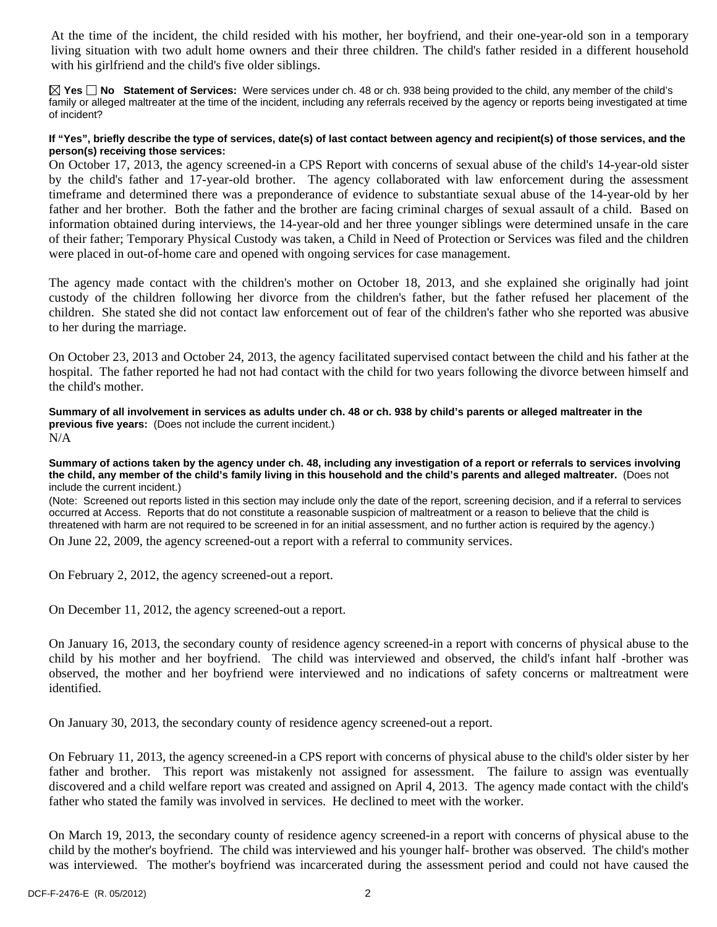At the time of the incident, the child resided with his mother, her boyfriend, and their one-year-old son in a temporary living situation with two adult home owners and their three children. The child's father resided in a different household with his girlfriend and the child's five older siblings.

**Yes No Statement of Services:** Were services under ch. 48 or ch. 938 being provided to the child, any member of the child's family or alleged maltreater at the time of the incident, including any referrals received by the agency or reports being investigated at time of incident?

#### **If "Yes", briefly describe the type of services, date(s) of last contact between agency and recipient(s) of those services, and the person(s) receiving those services:**

On October 17, 2013, the agency screened-in a CPS Report with concerns of sexual abuse of the child's 14-year-old sister by the child's father and 17-year-old brother. The agency collaborated with law enforcement during the assessment timeframe and determined there was a preponderance of evidence to substantiate sexual abuse of the 14-year-old by her father and her brother. Both the father and the brother are facing criminal charges of sexual assault of a child. Based on information obtained during interviews, the 14-year-old and her three younger siblings were determined unsafe in the care of their father; Temporary Physical Custody was taken, a Child in Need of Protection or Services was filed and the children were placed in out-of-home care and opened with ongoing services for case management.

The agency made contact with the children's mother on October 18, 2013, and she explained she originally had joint custody of the children following her divorce from the children's father, but the father refused her placement of the children. She stated she did not contact law enforcement out of fear of the children's father who she reported was abusive to her during the marriage.

On October 23, 2013 and October 24, 2013, the agency facilitated supervised contact between the child and his father at the hospital. The father reported he had not had contact with the child for two years following the divorce between himself and the child's mother.

**Summary of all involvement in services as adults under ch. 48 or ch. 938 by child's parents or alleged maltreater in the previous five years:** (Does not include the current incident.) N/A

**Summary of actions taken by the agency under ch. 48, including any investigation of a report or referrals to services involving the child, any member of the child's family living in this household and the child's parents and alleged maltreater.** (Does not include the current incident.)

(Note: Screened out reports listed in this section may include only the date of the report, screening decision, and if a referral to services occurred at Access. Reports that do not constitute a reasonable suspicion of maltreatment or a reason to believe that the child is threatened with harm are not required to be screened in for an initial assessment, and no further action is required by the agency.)

On June 22, 2009, the agency screened-out a report with a referral to community services.

On February 2, 2012, the agency screened-out a report.

On December 11, 2012, the agency screened-out a report.

On January 16, 2013, the secondary county of residence agency screened-in a report with concerns of physical abuse to the child by his mother and her boyfriend. The child was interviewed and observed, the child's infant half -brother was observed, the mother and her boyfriend were interviewed and no indications of safety concerns or maltreatment were identified.

On January 30, 2013, the secondary county of residence agency screened-out a report.

On February 11, 2013, the agency screened-in a CPS report with concerns of physical abuse to the child's older sister by her father and brother. This report was mistakenly not assigned for assessment. The failure to assign was eventually discovered and a child welfare report was created and assigned on April 4, 2013. The agency made contact with the child's father who stated the family was involved in services. He declined to meet with the worker.

On March 19, 2013, the secondary county of residence agency screened-in a report with concerns of physical abuse to the child by the mother's boyfriend. The child was interviewed and his younger half- brother was observed. The child's mother was interviewed. The mother's boyfriend was incarcerated during the assessment period and could not have caused the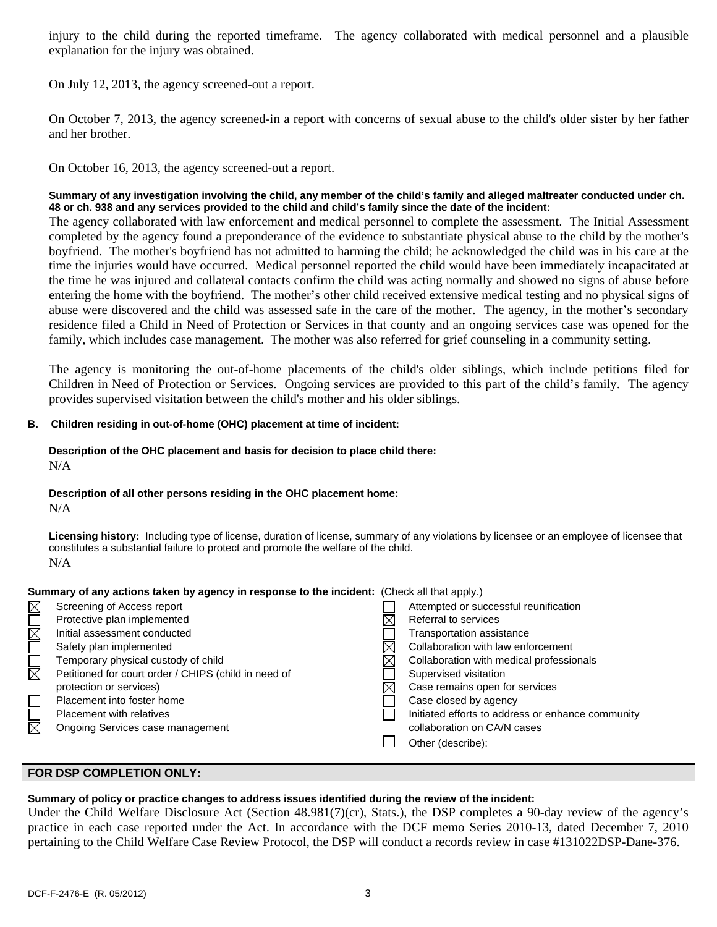injury to the child during the reported timeframe. The agency collaborated with medical personnel and a plausible explanation for the injury was obtained.

On July 12, 2013, the agency screened-out a report.

On October 7, 2013, the agency screened-in a report with concerns of sexual abuse to the child's older sister by her father and her brother.

On October 16, 2013, the agency screened-out a report.

### **Summary of any investigation involving the child, any member of the child's family and alleged maltreater conducted under ch. 48 or ch. 938 and any services provided to the child and child's family since the date of the incident:**

The agency collaborated with law enforcement and medical personnel to complete the assessment. The Initial Assessment completed by the agency found a preponderance of the evidence to substantiate physical abuse to the child by the mother's boyfriend. The mother's boyfriend has not admitted to harming the child; he acknowledged the child was in his care at the time the injuries would have occurred. Medical personnel reported the child would have been immediately incapacitated at the time he was injured and collateral contacts confirm the child was acting normally and showed no signs of abuse before entering the home with the boyfriend. The mother's other child received extensive medical testing and no physical signs of abuse were discovered and the child was assessed safe in the care of the mother. The agency, in the mother's secondary residence filed a Child in Need of Protection or Services in that county and an ongoing services case was opened for the family, which includes case management. The mother was also referred for grief counseling in a community setting.

The agency is monitoring the out-of-home placements of the child's older siblings, which include petitions filed for Children in Need of Protection or Services. Ongoing services are provided to this part of the child's family. The agency provides supervised visitation between the child's mother and his older siblings.

### **B. Children residing in out-of-home (OHC) placement at time of incident:**

#### **Description of the OHC placement and basis for decision to place child there:** N/A

**Description of all other persons residing in the OHC placement home:**

N/A

**Licensing history:** Including type of license, duration of license, summary of any violations by licensee or an employee of licensee that constitutes a substantial failure to protect and promote the welfare of the child. N/A

| Summary of any actions taken by agency in response to the incluent. (Crieck all that apply.) |                                                      |  |                                                   |  |
|----------------------------------------------------------------------------------------------|------------------------------------------------------|--|---------------------------------------------------|--|
| $\boxtimes$                                                                                  | Screening of Access report                           |  | Attempted or successful reunification             |  |
|                                                                                              | Protective plan implemented                          |  | Referral to services                              |  |
| $\boxtimes$                                                                                  | Initial assessment conducted                         |  | <b>Transportation assistance</b>                  |  |
|                                                                                              | Safety plan implemented                              |  | Collaboration with law enforcement                |  |
|                                                                                              | Temporary physical custody of child                  |  | Collaboration with medical professionals          |  |
| $\boxtimes$                                                                                  | Petitioned for court order / CHIPS (child in need of |  | Supervised visitation                             |  |
|                                                                                              | protection or services)                              |  | Case remains open for services                    |  |
|                                                                                              | Placement into foster home                           |  | Case closed by agency                             |  |
|                                                                                              | <b>Placement with relatives</b>                      |  | Initiated efforts to address or enhance community |  |
| $\overline{\boxtimes}$                                                                       | Ongoing Services case management                     |  | collaboration on CA/N cases                       |  |
|                                                                                              |                                                      |  | Other (describe):                                 |  |
|                                                                                              |                                                      |  |                                                   |  |

## **Summary of any actions taken by agency in response to the incident:** (Check all that apply.)

## **FOR DSP COMPLETION ONLY:**

#### **Summary of policy or practice changes to address issues identified during the review of the incident:**

Under the Child Welfare Disclosure Act (Section 48.981(7)(cr), Stats.), the DSP completes a 90-day review of the agency's practice in each case reported under the Act. In accordance with the DCF memo Series 2010-13, dated December 7, 2010 pertaining to the Child Welfare Case Review Protocol, the DSP will conduct a records review in case #131022DSP-Dane-376.